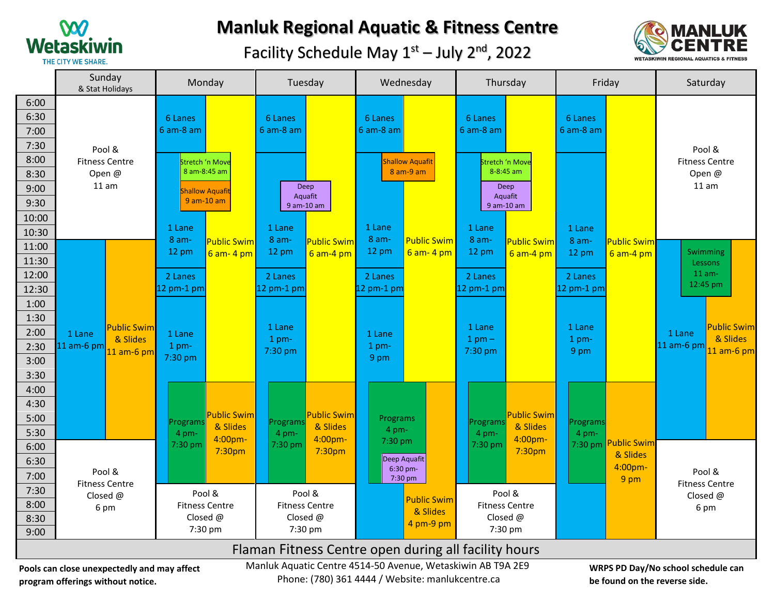

## **Manluk Regional Aquatic & Fitness Centre**

Facility Schedule May  $1<sup>st</sup>$  – July 2<sup>nd</sup>, 2022



|                                                                                                                                                  | Sunday<br>Monday<br>& Stat Holidays |                                                                         | Tuesday                  |                                                   | Wednesday          |                                     | Thursday           |                                            | Friday             |                     | Saturday                                |                                             |                    |
|--------------------------------------------------------------------------------------------------------------------------------------------------|-------------------------------------|-------------------------------------------------------------------------|--------------------------|---------------------------------------------------|--------------------|-------------------------------------|--------------------|--------------------------------------------|--------------------|---------------------|-----------------------------------------|---------------------------------------------|--------------------|
| 6:00<br>6:30                                                                                                                                     |                                     | 6 Lanes                                                                 |                          | 6 Lanes                                           |                    | 6 Lanes                             |                    | 6 Lanes                                    |                    | 6 Lanes             |                                         |                                             |                    |
| 7:00                                                                                                                                             |                                     | $6$ am- $8$ am                                                          |                          | 6 am-8 am                                         |                    | 6 am-8 am                           |                    | 6 am-8 am                                  |                    | $6$ am- $8$ am      |                                         |                                             |                    |
| 7:30                                                                                                                                             | Pool &                              |                                                                         |                          |                                                   |                    |                                     |                    |                                            |                    |                     |                                         | Pool &                                      |                    |
| 8:00                                                                                                                                             | <b>Fitness Centre</b>               | Stretch 'n Move<br>8 am-8:45 am<br><b>Shallow Aquafit</b><br>9 am-10 am |                          |                                                   |                    | <b>Shallow Aquafit</b><br>8 am-9 am |                    | Stretch 'n Move                            |                    |                     | <b>Fitness Centre</b><br>Open@<br>11 am |                                             |                    |
| 8:30                                                                                                                                             | Open@                               |                                                                         |                          |                                                   |                    |                                     |                    | 8-8:45 am<br>Deep<br>Aquafit<br>9 am-10 am |                    |                     |                                         |                                             |                    |
| 9:00                                                                                                                                             | 11 am                               |                                                                         |                          | Deep                                              |                    |                                     |                    |                                            |                    |                     |                                         |                                             |                    |
| 9:30                                                                                                                                             |                                     |                                                                         |                          | Aquafit<br>9 am-10 am                             |                    |                                     |                    |                                            |                    |                     |                                         |                                             |                    |
| 10:00                                                                                                                                            |                                     |                                                                         |                          |                                                   |                    |                                     |                    |                                            |                    |                     |                                         |                                             |                    |
| 10:30                                                                                                                                            |                                     | 1 Lane<br>8 am-                                                         | <mark>Public Swim</mark> | 1 Lane<br>$8$ am-                                 | <b>Public Swim</b> | 1 Lane<br>$8$ am-                   | <b>Public Swim</b> | 1 Lane<br>8 am-                            | <b>Public Swim</b> | 1 Lane<br>8 am-     | <b>Public Swim</b>                      |                                             |                    |
| 11:00                                                                                                                                            |                                     | 12 pm                                                                   | $6$ am- $4$ pm           | 12 pm                                             | $6$ am-4 pm        | $12 \text{ pm}$                     | $6$ am- $4$ pm     | 12 pm                                      | $6$ am-4 pm        | 12 pm               | $6$ am-4 pm                             | <b>Swimming</b>                             |                    |
| 11:30                                                                                                                                            |                                     |                                                                         |                          |                                                   |                    |                                     |                    |                                            |                    |                     |                                         | <b>Lessons</b>                              |                    |
| 12:00                                                                                                                                            |                                     | 2 Lanes                                                                 |                          | 2 Lanes                                           |                    | 2 Lanes                             |                    | 2 Lanes                                    |                    | 2 Lanes             |                                         | $11$ am-<br>12:45 pm                        |                    |
| 12:30                                                                                                                                            |                                     | 12 pm-1 pm                                                              |                          | 12 pm-1 pm                                        |                    | 12 pm-1 pm                          |                    | 12 pm-1 pm                                 |                    | 12 pm-1 pm          |                                         |                                             |                    |
| 1:00                                                                                                                                             |                                     |                                                                         |                          |                                                   |                    |                                     |                    |                                            |                    |                     |                                         |                                             |                    |
| 1:30                                                                                                                                             | <b>Public Swim</b>                  |                                                                         |                          | 1 Lane                                            |                    |                                     |                    | 1 Lane                                     |                    | 1 Lane              |                                         |                                             | <b>Public Swim</b> |
| 2:00<br>2:30                                                                                                                                     | 1 Lane<br>& Slides<br>$11$ am-6 pm  | 1 Lane<br>$1$ pm-                                                       |                          | 1 pm-                                             |                    | 1 Lane<br>$1$ pm-                   |                    | $1$ pm $-$                                 |                    | $1$ pm-             |                                         | 1 Lane<br>11 am-6 pm                        | & Slides           |
| 3:00                                                                                                                                             | 11 am-6 pm                          | 7:30 pm                                                                 |                          | 7:30 pm                                           | 9 pm               |                                     | 7:30 pm            |                                            | 9 pm               |                     |                                         | $11$ am-6 pm                                |                    |
| 3:30                                                                                                                                             |                                     |                                                                         |                          |                                                   |                    |                                     |                    |                                            |                    |                     |                                         |                                             |                    |
| 4:00                                                                                                                                             |                                     |                                                                         |                          |                                                   |                    |                                     |                    |                                            |                    |                     |                                         |                                             |                    |
| 4:30                                                                                                                                             |                                     |                                                                         |                          |                                                   |                    |                                     |                    |                                            |                    |                     |                                         |                                             |                    |
| 5:00                                                                                                                                             |                                     | Programs                                                                | <b>Public Swim</b>       | Programs                                          | <b>Public Swim</b> | Programs                            |                    | Programs                                   | <b>Public Swim</b> | Programs            |                                         |                                             |                    |
| 5:30                                                                                                                                             |                                     | $4 \text{ pm}$                                                          | & Slides                 | & Slides<br>4 pm-<br>4:00pm-<br>7:30 pm<br>7:30pm |                    | $4$ pm-                             |                    | 4 pm-                                      | & Slides           | 4 pm-               |                                         |                                             |                    |
| 6:00                                                                                                                                             |                                     | 7:30 pm                                                                 | 4:00pm-<br>7:30pm        |                                                   |                    | 7:30 pm<br>Deep Aquafit             |                    | 4:00pm-<br>7:30 pm<br>7:30pm               | $7:30$ pm          | <b>Public Swim</b>  |                                         |                                             |                    |
| 6:30                                                                                                                                             |                                     |                                                                         |                          |                                                   |                    |                                     |                    |                                            |                    | & Slides<br>4:00pm- |                                         |                                             |                    |
| 7:00                                                                                                                                             | Pool &                              |                                                                         |                          |                                                   |                    | 6:30 pm-<br>7:30 pm                 |                    |                                            |                    |                     | 9 pm                                    | Pool &<br><b>Fitness Centre</b><br>Closed @ |                    |
| 7:30                                                                                                                                             | <b>Fitness Centre</b><br>Closed @   |                                                                         | Pool &                   |                                                   | Pool &             |                                     |                    |                                            | Pool &             |                     |                                         |                                             |                    |
| 8:00                                                                                                                                             | 6 pm                                | <b>Fitness Centre</b>                                                   |                          | <b>Fitness Centre</b>                             |                    | <b>Public Swim</b><br>& Slides      |                    | <b>Fitness Centre</b>                      |                    |                     | 6 pm                                    |                                             |                    |
| 8:30                                                                                                                                             |                                     | Closed @<br>7:30 pm                                                     |                          | Closed @<br>7:30 pm                               |                    |                                     | 4 pm-9 pm          | Closed @                                   | 7:30 pm            |                     |                                         |                                             |                    |
| 9:00                                                                                                                                             |                                     |                                                                         |                          |                                                   |                    |                                     |                    |                                            |                    |                     |                                         |                                             |                    |
| Flaman Fitness Centre open during all facility hours                                                                                             |                                     |                                                                         |                          |                                                   |                    |                                     |                    |                                            |                    |                     |                                         |                                             |                    |
| Manluk Aquatic Centre 4514-50 Avenue, Wetaskiwin AB T9A 2E9<br>WRPS PD Day/No school schedule can<br>Pools can close unexpectedly and may affect |                                     |                                                                         |                          |                                                   |                    |                                     |                    |                                            |                    |                     |                                         |                                             |                    |

**program offerings without notice.**

Phone: (780) 361 4444 / Website: manlukcentre.ca

**WRPS PD Day/No school schedule can be found on the reverse side.**